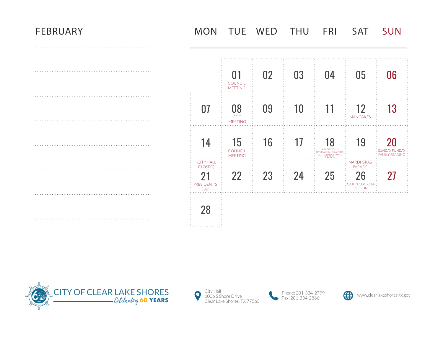# FEBRUARY MON TUE WED THU FRI SAT SUN

|                                                          | 01<br><b>COUNCIL</b><br><b>MEETING</b> | 02 | 03 | 04                                                                                                   | 05                                                                   | 06                                                  |
|----------------------------------------------------------|----------------------------------------|----|----|------------------------------------------------------------------------------------------------------|----------------------------------------------------------------------|-----------------------------------------------------|
| 07                                                       | 08<br><b>EDC</b><br><b>MEETING</b>     | 09 | 10 | 11                                                                                                   | 12<br><b>MANCAKES</b>                                                | 13                                                  |
| 14                                                       | 15<br>COUNCIL<br><b>MEETING</b>        | 16 | 17 | 18<br><b>LAST DAY TO FILE</b><br><b>APPLICATION FOR A PLACE</b><br>ON THE BALLOT / MAY 7<br>ELECTION | 19                                                                   | 20<br><b>SUNDAY FUNDAY</b><br><b>FAMILY READING</b> |
| (CITY HALL<br>CLOSED)<br>21<br>PRESIDENT'S<br><b>DAY</b> | 22                                     | 23 | 24 | 25                                                                                                   | <b>MARDI GRAS</b><br><b>PARADE</b><br>26<br>CAJUN COOKOFF<br>/5K RUN | 27                                                  |
| 28                                                       |                                        |    |    |                                                                                                      |                                                                      |                                                     |





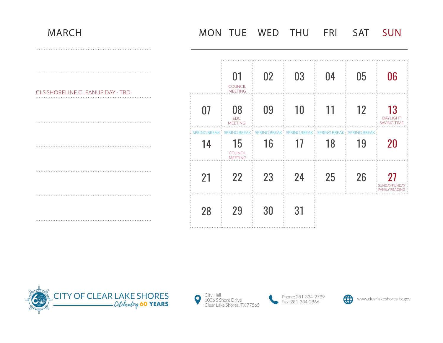## MARCH MON TUE WED THU FRI SAT SUN

| CLS SHORELINE CLEANUP DAY - TBD |  |
|---------------------------------|--|
|                                 |  |
|                                 |  |

|    | $01\,$<br><b>COUNCIL</b><br><b>MEETING</b>                                                                                    | 02 | 03 | 04 | 05 | 06                                             |
|----|-------------------------------------------------------------------------------------------------------------------------------|----|----|----|----|------------------------------------------------|
| 07 | 08<br><b>EDC</b><br><b>MEETING</b>                                                                                            | 09 | 10 | 11 | 12 | 13<br><b>DAYLIGHT</b><br><b>SAVING TIME</b>    |
| 14 | SPRING BREAK: SPRING BREAK: SPRING BREAK: SPRING BREAK: SPRING BREAK: SPRING BREAK:<br>15<br><b>COUNCIL</b><br><b>MEETING</b> | 16 | 17 | 18 | 19 | 20                                             |
| 21 | 22                                                                                                                            | 23 | 24 | 25 | 26 | 27<br><b>SUNDAY FUNDAY</b><br>: FAMILY READING |
| 28 | 29                                                                                                                            | 30 | 31 |    |    |                                                |







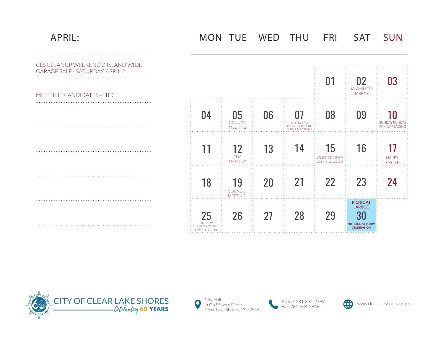## APRIL: MON TUE WED THU FRI SAT SUN

| CLS CLEANUP WEEKEND & ISLAND WIDE<br><b>GARAGE SALE - SATURDAY, APRIL 2</b><br>MEET THE CANDIDATES - TBD |                                                                         |                                        |    |                                                                         | 01                                           | 02<br><b>JAMMINON</b><br><b>JARBOE</b>                                            |                                               |
|----------------------------------------------------------------------------------------------------------|-------------------------------------------------------------------------|----------------------------------------|----|-------------------------------------------------------------------------|----------------------------------------------|-----------------------------------------------------------------------------------|-----------------------------------------------|
|                                                                                                          |                                                                         |                                        |    |                                                                         |                                              |                                                                                   |                                               |
|                                                                                                          | 04                                                                      | 05<br><b>COUNCIL</b><br><b>MEETING</b> | 06 | 07<br><b>LAST DAY TO</b><br><b>REGISTER TO VOTE</b><br>-MAY 7 ELECTIONS | 08                                           | 09                                                                                | <b>SUNDAY FUNDAY</b><br><b>FAMILY READING</b> |
|                                                                                                          |                                                                         | 12<br><b>EDC</b><br><b>MEETING</b>     | 13 | 14                                                                      | 15<br><b>GOOD FRIDAY</b><br>CITY HALL CLOSED | 16                                                                                | <b>HAPPY</b><br><b>EASTER</b>                 |
|                                                                                                          | 18                                                                      | 19<br><b>COUNCIL</b><br><b>MEETING</b> | 20 | 21                                                                      | 22                                           | 23                                                                                |                                               |
|                                                                                                          | 25<br><b>FIRST DAY</b><br><b>EARLY VOTING</b><br><b>MAY 7 ELECTIONS</b> | 26                                     | 27 | 28                                                                      | 29                                           | <b>PICNIC AT</b><br><b>JARBOE</b><br>30<br>60TH ANNIVERSARY<br><b>CELEBRATION</b> |                                               |





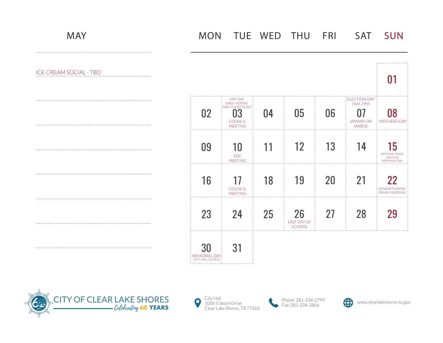ICE CREAM SOCIAL - TBD

|                                                  |                                                                                                           |    |                                           |    |                                                                           | 01                                                                    |
|--------------------------------------------------|-----------------------------------------------------------------------------------------------------------|----|-------------------------------------------|----|---------------------------------------------------------------------------|-----------------------------------------------------------------------|
| 02                                               | <b>LAST DAY</b><br><b>EARLY VOTING</b><br><b>MAY 7 ELECTIONS</b><br>3<br><b>COUNCIL</b><br><b>MEETING</b> | 04 | 05                                        | 06 | <b>ELECTION DAY</b><br>7AM-7PM<br>07<br><b>JAMMIN ON</b><br><b>JARBOE</b> | 08<br><b>MOTHER'S DAY</b>                                             |
| 09                                               | 10<br><b>EDC</b><br><b>MEETING</b>                                                                        | 11 | 12                                        | 13 | 14                                                                        | 15<br><b>NATIONAL PEACE</b><br><b>OFFICERS</b><br><b>MEMORIAL DAY</b> |
| 16                                               | 17<br><b>COUNCIL</b><br><b>MEETING</b>                                                                    | 18 | 19                                        | 20 | 21                                                                        | 22<br><b>SUNDAY FUNDAY</b><br><b>FAMILY READING</b>                   |
| 23                                               | 24                                                                                                        | 25 | 26<br><b>LAST DAY OF</b><br><b>SCHOOL</b> | 27 | 28                                                                        | 29                                                                    |
| 30<br><b>MEMORIAL DAY:</b><br>(CITY HALL CLOSED) | 31                                                                                                        |    |                                           |    |                                                                           |                                                                       |







. . . . . . . . . . . . . . . . . .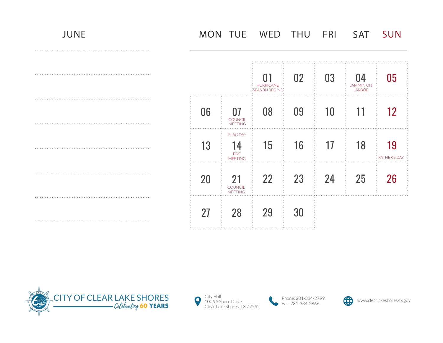MON TUE WED THU FRI SAT SUN

|    |                                                       | 01<br><b>HURRICANE</b><br>:SEASON BEGINS: | 02 | 03 | 04<br><b>JAMMIN ON</b><br><b>JARBOE</b> | 05                        |
|----|-------------------------------------------------------|-------------------------------------------|----|----|-----------------------------------------|---------------------------|
| 06 | 07<br><b>COUNCIL</b><br><b>MEETING</b>                | 08                                        | 09 | 10 | 11                                      | 12                        |
| 13 | <b>FLAG DAY</b><br>14<br><b>EDC</b><br><b>MEETING</b> | 15                                        | 16 | 17 | 18                                      | 19<br><b>FATHER'S DAY</b> |
| 20 | 21<br><b>COUNCIL</b><br><b>MEETING</b>                | 22                                        | 23 | 24 | 25                                      | 26                        |
| 27 | 28                                                    | 29                                        | 30 |    |                                         |                           |





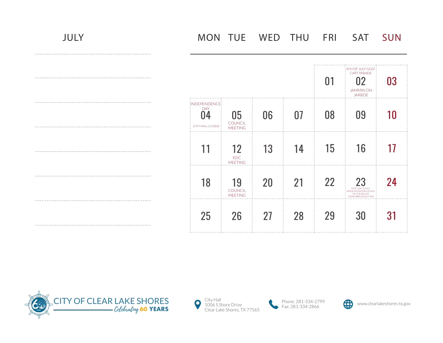|                                                          |                                        |    |    | 01 | : 4TH OF JULY GOLF:<br><b>CART PARADE</b><br>02<br><b>JAMMINON</b><br><b>JARBOE</b>                | 03 |
|----------------------------------------------------------|----------------------------------------|----|----|----|----------------------------------------------------------------------------------------------------|----|
| :INDEPENDENCE:<br><b>DAY</b><br>04<br>(CITY HALL CLOSED) | 05<br>COUNCIL<br><b>MEETING</b>        | 06 | 07 | 08 | 09                                                                                                 | 10 |
| 11                                                       | 12<br><b>EDC</b><br><b>MEETING</b>     | 13 | 14 | 15 | 16                                                                                                 | 17 |
| 18                                                       | 19<br><b>COUNCIL</b><br><b>MEETING</b> | 20 | 21 | 22 | 23<br><b>FIRST DAY TO FILE</b><br>APPLICATION FOR A PLACE<br>ON THE BALLOT<br>-NOVEMBER 8 ELECTION | 24 |
| 25                                                       | 26                                     | 27 | 28 | 29 | 30                                                                                                 | 31 |





Phone: 281-334-2799<br>1934-2866 Fax: 281-334-2866

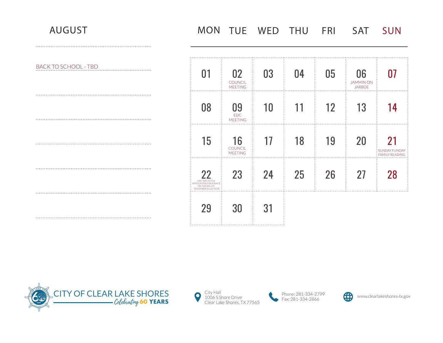# AUGUST MON TUE WED THU FRI SAT SUN

| <b>BACK TO SCHOOL - TBD</b> | 01                                                                                                | 02<br><b>COUNCIL</b><br><b>MEETING</b> | 03              | 04              | 05 | 06<br><b>JAMMINON</b><br><b>JARBOE</b> |                                               |
|-----------------------------|---------------------------------------------------------------------------------------------------|----------------------------------------|-----------------|-----------------|----|----------------------------------------|-----------------------------------------------|
|                             | 08                                                                                                | 09<br><b>EDC</b><br><b>MEETING</b>     | 10 <sup>°</sup> |                 | 12 | 13                                     |                                               |
|                             | 15                                                                                                | 16<br><b>COUNCIL</b><br><b>MEETING</b> | 17              | 18              | 19 | 20                                     | <b>SUNDAY FUNDAY</b><br><b>EAMILY READING</b> |
|                             | 22<br><b>LAST DAY TO FILE</b><br>APPLICATION FOR A PLACE<br>ON THE BALLOT<br>-NOVEMBER 8 ELECTION | 23                                     | 24              | 25 <sub>2</sub> | 26 | 27                                     |                                               |
|                             | 29                                                                                                | 30                                     | 31              |                 |    |                                        |                                               |





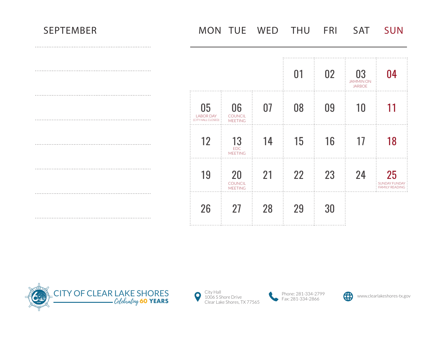|                                              |                                        |    | 01 | 02 <sub>2</sub> | 03<br><b>JAMMINON</b><br><b>JARBOE</b> | 04                                                  |
|----------------------------------------------|----------------------------------------|----|----|-----------------|----------------------------------------|-----------------------------------------------------|
| 05<br><b>LABOR DAY</b><br>(CITY HALL CLOSED) | 06<br>COUNCIL<br><b>MEETING</b>        | 07 | 08 | 09              | 10                                     | 11                                                  |
| 12                                           | 13<br><b>EDC</b><br><b>MEETING</b>     | 14 | 15 | 16              | 17                                     | 18                                                  |
| 19                                           | 20<br><b>COUNCIL</b><br><b>MEETING</b> | 21 | 22 | 23              | 24                                     | 25<br><b>SUNDAY FUNDAY</b><br><b>FAMILY READING</b> |
| 26                                           | 27                                     | 28 | 29 | 30              |                                        |                                                     |





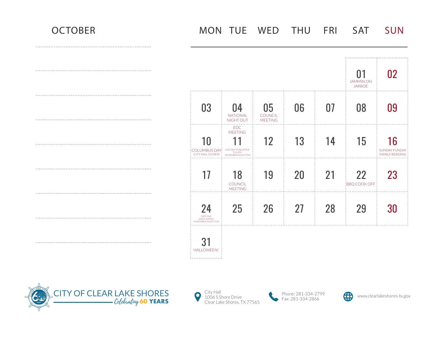

|                                                        |                                                                                                |                                        |           |    | 01<br><b>JAMMINON</b><br><b>JARBOE</b> |                                                     |
|--------------------------------------------------------|------------------------------------------------------------------------------------------------|----------------------------------------|-----------|----|----------------------------------------|-----------------------------------------------------|
|                                                        |                                                                                                |                                        |           |    |                                        |                                                     |
| 03<br>.                                                | 04<br><b>NATIONAL</b><br>NIGHT OUT<br>.                                                        | 05<br><b>COUNCIL</b><br><b>MEETING</b> | 06        | 07 | 08                                     |                                                     |
| 10<br>:COLUMBUS DAY:<br>(CITY HALL CLOSED) :           | EDC<br><b>MEETING</b><br><b>LAST DAY TO REGISTER</b><br><b>TO VOTE</b><br>-NOVEMBER 8 ELECTION | 12                                     | 13        | 14 | 15                                     | 16<br><b>SUNDAY FUNDAY</b><br><b>FAMILY READING</b> |
| 17                                                     | 18<br><b>COUNCIL</b><br><b>MEETING</b>                                                         | 19                                     | <b>20</b> | 21 | 22<br>:BBQ COOK OFF:                   | 23                                                  |
|                                                        |                                                                                                |                                        |           |    |                                        |                                                     |
| 24<br>FIRST DAY<br>EARLY VOTING<br>NOVEMBER 8 ELECTION | 25                                                                                             | 26                                     | 27        | 28 | 29                                     |                                                     |
| <b>HALLOWEEN!</b><br>.                                 |                                                                                                |                                        |           |    |                                        |                                                     |







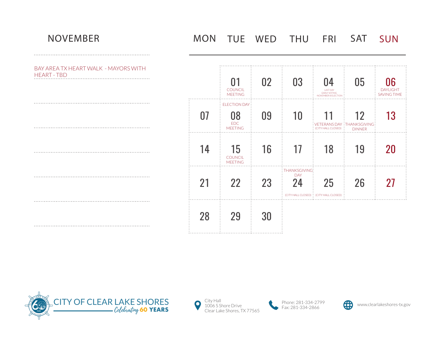BAY AREA TX HEART WALK - MAYORS WITH HEART - TBD

# NOVEMBER MON TUE WED THU FRI SAT SUN

03 05 01 02 04 06 **COUNCIL** DAYLIGHT LAST DAY EARLY VOTING MEETING SAVING TIME -NOVEMBER 8 ELECTION ELECTION DAY 07 08 09 10 11 12 13 EDC VETERANS DAY THANKSGIVING (CITY HALL CLOSED) MEETING DINNER. . . . . . . . . . . . . . . . . . . . . . . . . . . . . . . . . . . . . . . . . . . . . . . . . . . . . 14 15 16 17 18 19 20 **COUNCIL** MEETING .<br>: THANKSGIVING: DAY 23 24 21 22 25 26 27 (CITY HALL CLOSED) (CITY HALL CLOSED) . . . . . . . . . . . . . . . . . . . . . . . . . . . . . . . . . . . . 28 29 30